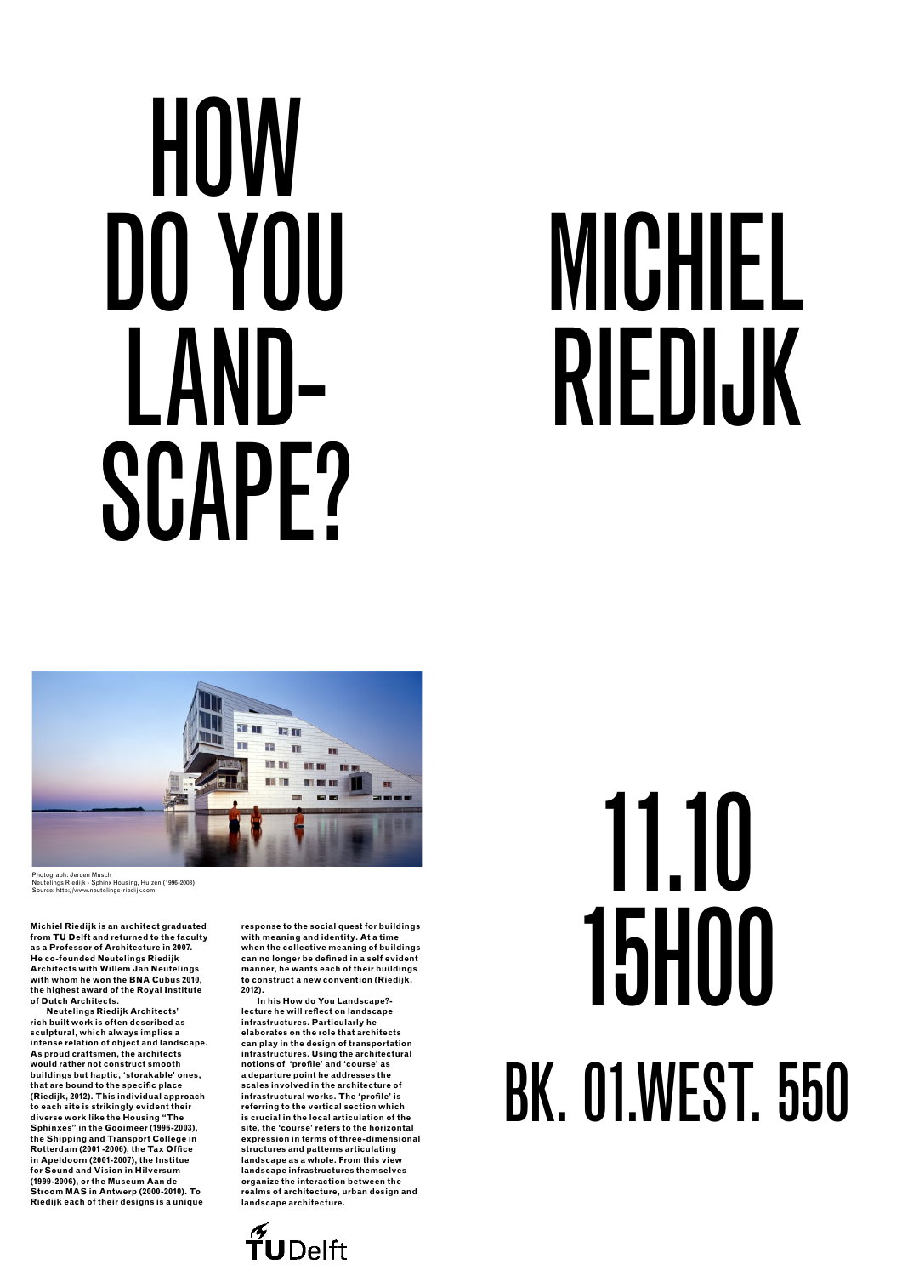11.10 15h00

### bk. 01.west. 550



## **HOW** Do You LAND-SCAPF?

# michiel Riedijk

NП H ■ ■ ■

**Michiel Riedijk is an architect graduated from TU Delft and returned to the faculty as a Professor of Architecture in 2007. He co-founded Neutelings Riedijk** 

**Architects with Willem Jan Neutelings with whom he won the BNA Cubus 2010, the highest award of the Royal Institute of Dutch Architects.** 

**Neutelings Riedijk Architects' rich built work is often described as sculptural, which always implies a intense relation of object and landscape. As proud craftsmen, the architects would rather not construct smooth buildings but haptic, 'storakable' ones, that are bound to the specific place (Riedijk, 2012). This individual approach to each site is strikingly evident their diverse work like the Housing "The Sphinxes" in the Gooimeer (1996-2003), the Shipping and Transport College in Rotterdam (2001 -2006), the Tax Office in Apeldoorn (2001-2007), the Institue for Sound and Vision in Hilversum (1999-2006), or the Museum Aan de Stroom MAS in Antwerp (2000-2010). To Riedijk each of their designs is a unique** 

**response to the social quest for buildings with meaning and identity. At a time when the collective meaning of buildings can no longer be defined in a self evident** 

**manner, he wants each of their buildings to construct a new convention (Riedijk, 2012).** 

**In his How do You Landscape? lecture he will reflect on landscape infrastructures. Particularly he elaborates on the role that architects can play in the design of transportation infrastructures. Using the architectural notions of 'profile' and 'course' as a departure point he addresses the scales involved in the architecture of infrastructural works. The 'profile' is referring to the vertical section which is crucial in the local articulation of the site, the 'course' refers to the horizontal expression in terms of three-dimensional structures and patterns articulating landscape as a whole. From this view landscape infrastructures themselves organize the interaction between the realms of architecture, urban design and landscape architecture.**



Photograph: Jeroen Musch Neutelings Riedijk - Sphinx Housing, Huizen (1996-2003) Source: http://www.neutelings-riedijk.com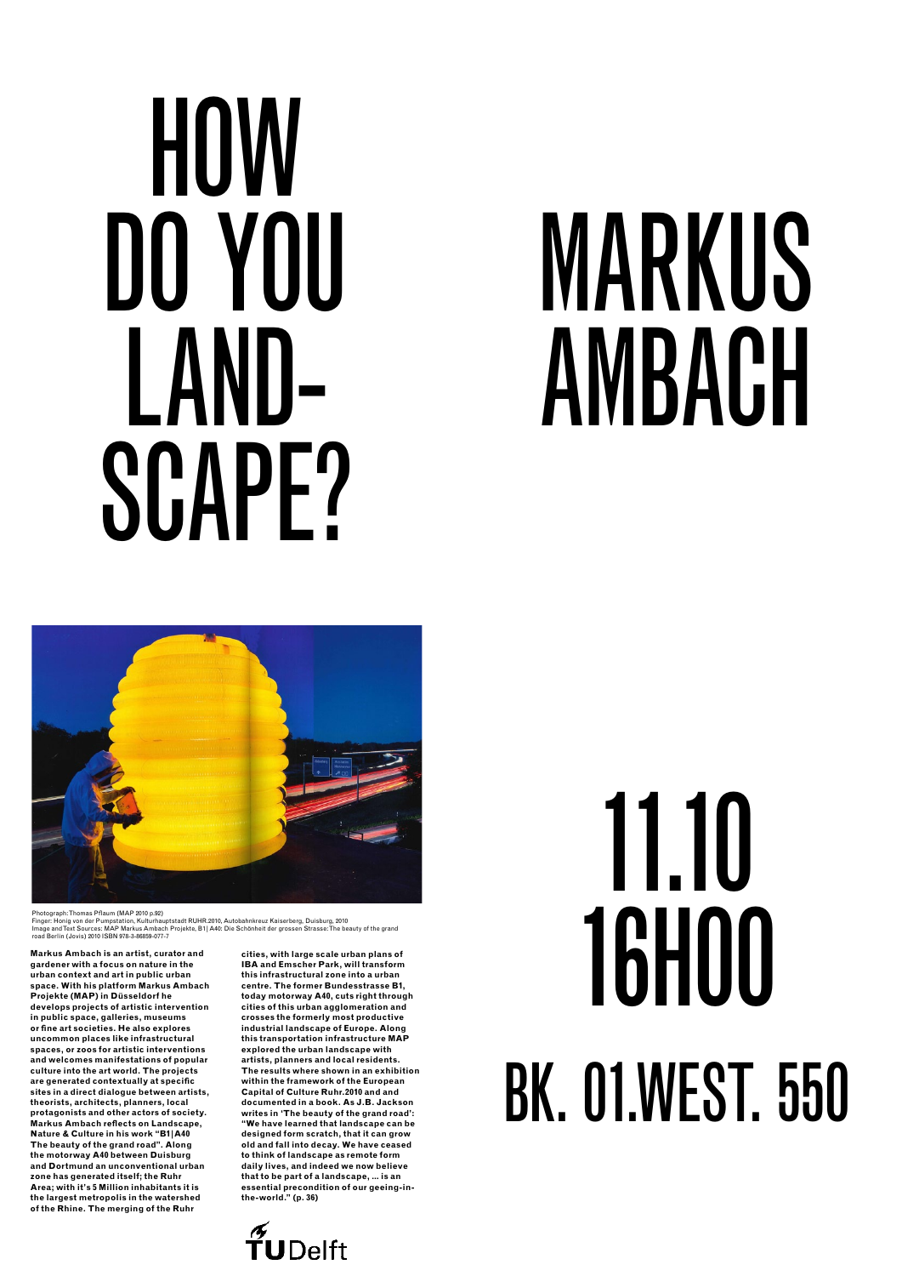## **HOW** Do You LAND-SCAPF?

# MARKUS AMBACH



Photograph: Thomas Pflaum (MAP 2010 p.92)<br>Finger: Honig von der Pumpstation, Kulturhauptstadt RUHR.2010, Autobahnkreuz Kaiserberg, Duisburg, 2010 Finger: Honig von der Pumpstation, Kulturhauptstadt RUHR.2010, Autobahnkreuz Kaiserberg, Duisburg, 2010<br>Image and Text Sources: MAP Markus Ambach Projekte, B1 | A40: Die Schönheit der grossen Strasse:The beauty of the gran

**Markus Ambach is an artist, curator and** 

**gardener with a focus on nature in the urban context and art in public urban space. With his platform Markus Ambach Projekte (MAP) in Düsseldorf he develops projects of artistic intervention in public space, galleries, museums or fine art societies. He also explores uncommon places like infrastructural spaces, or zoos for artistic interventions and welcomes manifestations of popular culture into the art world. The projects are generated contextually at specific sites in a direct dialogue between artists, theorists, architects, planners, local protagonists and other actors of society. Markus Ambach reflects on Landscape, Nature & Culture in his work "B1|A40 The beauty of the grand road". Along the motorway A40 between Duisburg and Dortmund an unconventional urban zone has generated itself; the Ruhr Area; with it's 5 Million inhabitants it is the largest metropolis in the watershed of the Rhine. The merging of the Ruhr** 

**cities, with large scale urban plans of IBA and Emscher Park, will transform this infrastructural zone into a urban centre. The former Bundesstrasse B1, today motorway A40, cuts right through cities of this urban agglomeration and crosses the formerly most productive industrial landscape of Europe. Along this transportation infrastructure MAP explored the urban landscape with artists, planners and local residents. The results where shown in an exhibition within the framework of the European Capital of Culture Ruhr.2010 and and documented in a book. As J.B. Jackson writes in 'The beauty of the grand road': "We have learned that landscape can be designed form scratch, that it can grow old and fall into decay. We have ceased to think of landscape as remote form daily lives, and indeed we now believe that to be part of a landscape, … is an essential precondition of our geeing-inthe-world." (p. 36)**

11.10 16h00

### bk. 01.west. 550